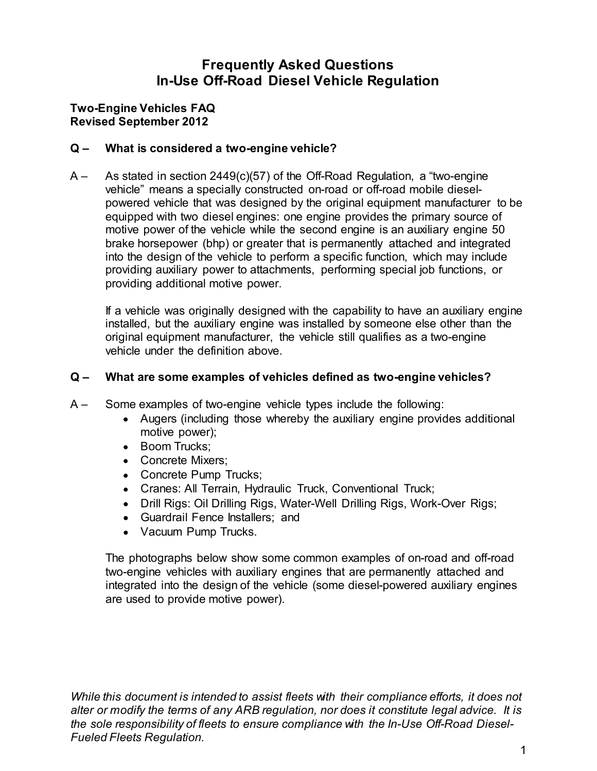# Frequently Asked Questions In-Use Off-Road Diesel Vehicle Regulation Frequently Asked Questions<br>In-Use Off-Road Diesel Vehicle Regulation<br>Two-Engine Vehicles FAQ<br>Revised September 2012<br>Q – What is considered a two-engine vehicle?

## Revised September 2012

Frequently Asked Questions<br>
In-Use Off-Road Diesel Vehicle Regulation<br>
Two-Engine Vehicles FAQ<br>
Revised September 2012<br>
Q – What is considered a two-engine vehicle?<br>
A – As stated in section 2449(c)(57) of the Off-Road Reg Frequently Asked Questions<br>
In-Use Off-Road Diesel Vehicle Regulation<br>
Two-Engine Vehicles FAQ<br>
Revised September 2012<br>
Q – What is considered a two-engine vehicle?<br>
A – As stated in section 2449(c)(57) of the Off-Road Reg vehicle" means a specially constructed on-road or off-road mobile dieselpowered vehicle that was designed by the original equipment manufacturer to be equipped with two diesel engines: one engine provides the primary source of motive power of the vehicle while the second engine is an auxiliary engine 50 **Frequently Asked Questions**<br> **In-Use Off-Road Diesel Vehicle Regulation**<br> **Ingle Vehicles FAQ**<br> **Stated in section 2449(c)(57) of the Off-Road Regulation, a "two-engine<br>
As stated in section 2449(c)(57) of the Off-Road Re** into the design of the vehicle to perform a specific function, which may include providing auxiliary power to attachments, performing special job functions, or providing additional motive power. **in-Use Off-Road Diesel Vehicle Regulation**<br>
ngine Vehicles FAQ<br>
of September 2012<br>
What is considered a two-engine vehicle?<br>
As stated in section 2449(c)(57) of the Off-Road Regulation, a "two-engine<br>
vehicle" means a sp Q – What is considered a two-engine vehicle?<br>
A – As stated in section 2449(c)(57) of the Off-Road Regulation, a "two-engine<br>
where the samples as specially constructed on-road or off-road mobile diesel-<br>
powered vehicle A – **As stated in section 2449(c)(57)** of the Off-Road Regulation, a "two-engine<br>
vehicle" means a specially constructed on-road or off-road mobile diesel-<br>
velvered whicle that was designed by the original equipment manuf From the ventile of the ventile and main variable and with two diesel engines: one engine provides the primary source of power of the vehicle while the second engine is an auxiliary engine 50 orsepower (btp) or greater tha power of the vehicle while the second engine is an auxiliary engine 50<br>power of the vehicle while the second engine is an auxiliary engine 50<br>onsepower (bhp) or greater that is permanently attached and integrated<br>rest desi

If a vehicle was originally designed with the capability to have an auxiliary engine original equipment manufacturer, the vehicle still qualifies as a two-engine vehicle under the definition above.

- - Augers (including those whereby the auxiliary engine provides additional motive power);
	- Boom Trucks:
	-
	-
	- Cranes: All Terrain, Hydraulic Truck, Conventional Truck;
	- Drill Rigs: Oil Drilling Rigs, Water-Well Drilling Rigs, Work-Over Rigs;
	- Guardrail Fence Installers; and
	- Vacuum Pump Trucks.

The photographs below show some common examples of on-road and off-road installed, but the auxiliary engine was installed by someone else other than the original equipment manufacturer, the vehicle still qualifies as a two-engine vehicle under the definition above.<br>
What are some examples of v original equipment manufacturer, the vehicle still qualifies as a two-engine<br>vehicle under the definition above.<br>
What are some examples of two-engine vehicles defined as two-engine vehicles?<br>
Some examples of two-engine v are used to provide motive power).

While this document is intended to assist fleets with their compliance efforts, it does not • Concrete Mixers;<br>• Concrete Pump Trucks;<br>• Cranes: All Terrain, Hydraulic Truck, Conventional Truck;<br>• Drill Rigs: Oil Drilling Rigs, Water-Well Drilling Rigs, Work-Over Rigs;<br>• Guardrail Frence Installers; and<br>• Vacuum the sole responsibility of fleets to ensure compliance with the In-Use Off-Road Diesel-• Cranes: All Terrain, Hydraulic Truck, Conventional Truck;<br>• Drill Rigs: Oil Drilling Rigs, Water-Well Drilling Rigs, Work-Over<br>• Guardrail Fence Installers; and<br>• Vacuum Pump Trucks.<br>The photographs below show some comm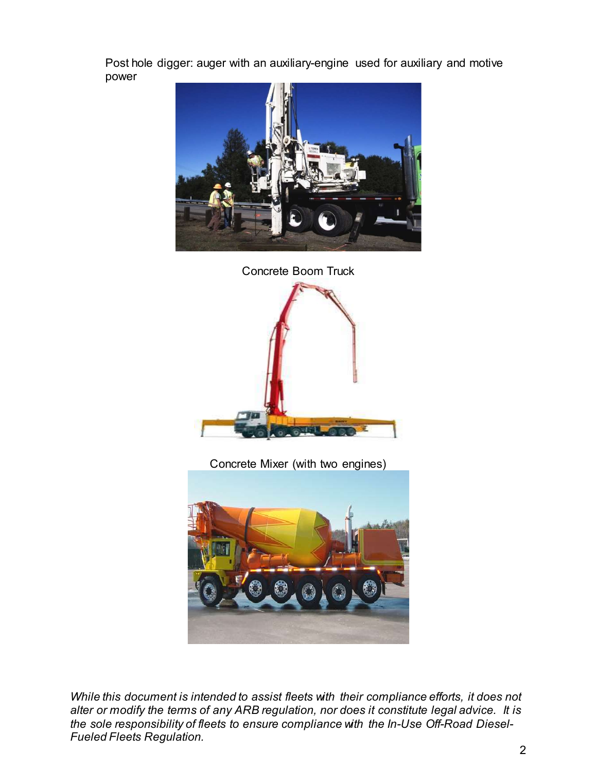Post hole digger: auger with an auxiliary-engine used for auxiliary and motive power





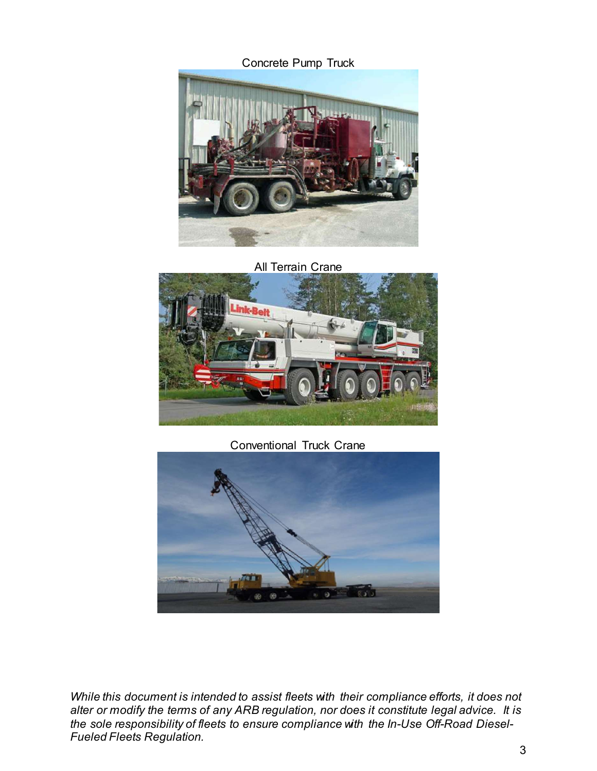

All Terrain Crane



Conventional Truck Crane

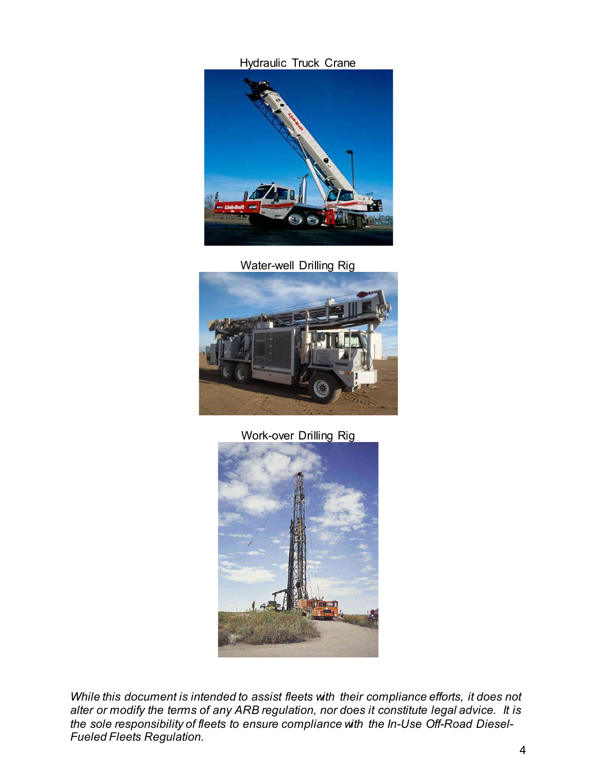Hydraulic Truck Crane



Water-well Drilling Rig



#### Work-over Drilling Rig

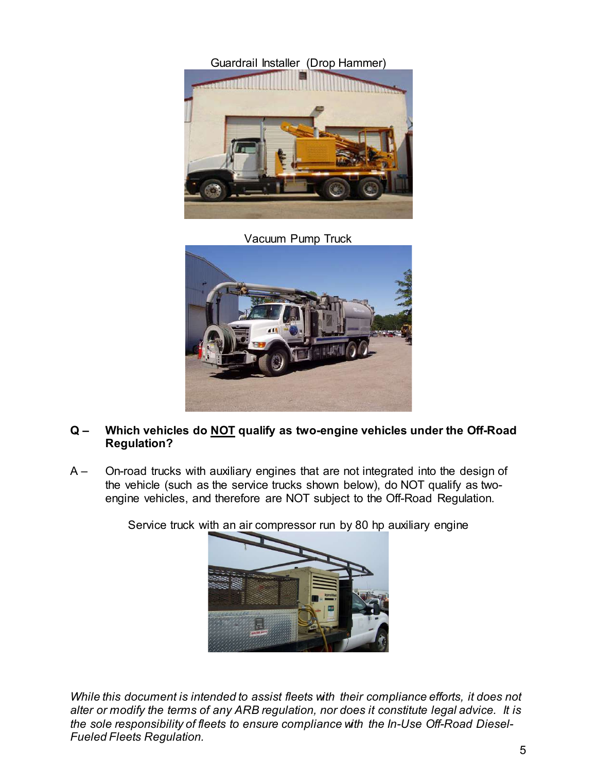Guardrail Installer (Drop Hammer)



Vacuum Pump Truck



## Regulation?

engine vehicles, and therefore are NOT subject to the Off-Road Regulation.

Service truck with an air compressor run by 80 hp auxiliary engine



While this document is intended to assist fleets with their compliance efforts, it does not A – On-road trucks with auxiliary engines that are not integrated into the design of<br>the vehicle (such as the service trucks shown below), do NOT qualify as two-<br>engine vehicles, and therefore are NOT subject to the Off-Ro the sole responsibility of fleets to ensure compliance with the In-Use Off-Road Diesel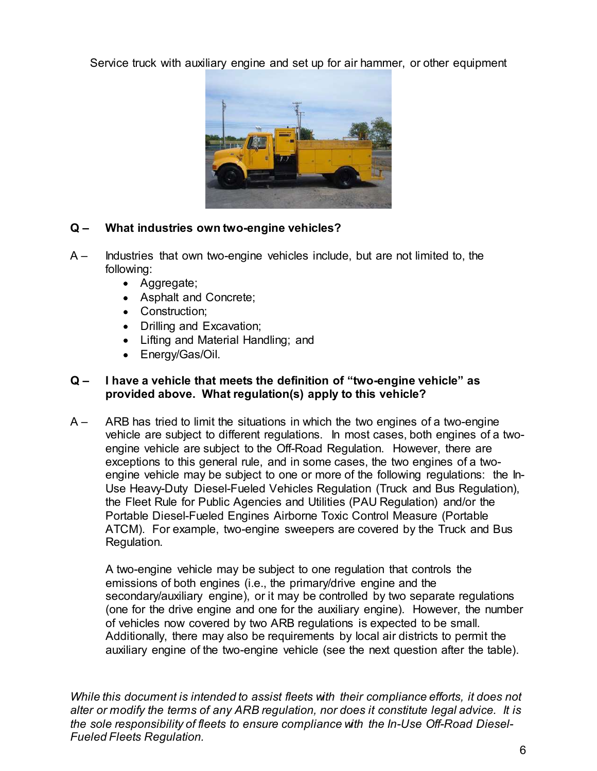Service truck with auxiliary engine and set up for air hammer, or other equipment



- following:
	- Aggregate;
	-
	- Construction:
	-
	-
	- Energy/Gas/Oil.

## provided above. What regulation(s) apply to this vehicle?

**A**<br>
A – **What industries own two-engine vehicles?**<br>
A – **Industries that own two-engine vehicles** include, but are not limited to, the<br>
following:<br>
• Aggregate;<br>
• Asphat and Concrete;<br>
• Construction;<br>
• Lifting and Exc vehicle are subject to different regulations. In most cases, both engines of a twoengine vehicle are subject to the Off-Road Regulation. However, there are What industries own two-engine vehicles?<br>
Industries that own two-engine vehicles include, but are not limited to, the<br>
construction;<br>
• Aggregate;<br>
• Asphalt and Concrete;<br>
• Construction;<br>
• Dilling and Material Handling What industries own two-engine vehicles?<br>
Industries that own two-engine vehicles include, but are not limited to, the<br>
following:<br>
• Aggregate;<br>
• Asphalt and Concrete;<br>
• Construction;<br>
• Lifting and Material Handling; a Use Heavy-Duty Diesel-Fueled Vehicles Regulation (Truck and Bus Regulation), Industries that own two-engine vehicles include, but are not limited to, the<br>
following:<br>
• Aggregate;<br>
• Asphalt and Concrete;<br>
• Construction;<br>
• Difling and Material Handling; and<br>
• Energy/Gas/Oil.<br>
• Interval Material Portable Diesel-Fueled Engines Airborne Toxic Control Measure (Portable ATCM). For example, two-engine sweepers are covered by the Truck and Bus Regulation. • Drilling and Excavation;<br>• Lifting and Material Handling; and<br>
• Energy/Gas/Oil.<br> **A have a vehicle that meets the definition of "two-engine vehicle" as<br>
provided above. What regulation(s) apply to this vehicle?<br>
ARB has Emissions of both engines (i.e., the primary/drive engine and the secondary/awiliary engine of virtual districts of provided above. What regulation(s) apply to this vehicle? ARB has tried to limit the situations in which Example 1.1** That is the definition of "two-engine vehicle" as provided above. What regulation(s) apply to this vehicle?<br>ARB has tried to limit the situations in which the two engines of a two-engine vehicle are subject t The the metally determined to the metally consider the metally controlled above. What regulation(s) apply to this vehicle?<br>
ARB has tried to limit the situations in which the two engines of a two-engine<br>
vehicle are subjec provided above: "matric guadavity" pupily to dimension a more the two-engine deficies are tracted to limit the two-engine wehicle are subject to the Off-Road Regulation. However, there are exceptions to this general rule, exceptions to this general rule, and in some cases, the two engines of a two-<br>engine vehicle may be subject to one or more of the following regulations: the Feel Rule for Public Agencies and Ultilities (PAU Regulation),<br>th

of vehicles now covered by two ARB regulations is expected to be small. Additionally, there may also be requirements by local air districts to permit the Use Heavy-Duty Diesel-Fueled Vehicles Regulation (Truck and Bus F<br>the Fleet Rule for Public Agencies and Utilities (PAU Regulation) and<br>Portable Diesel-Fueled Engines Airborne Toxic Control Measure (Por<br>ATCM). For example,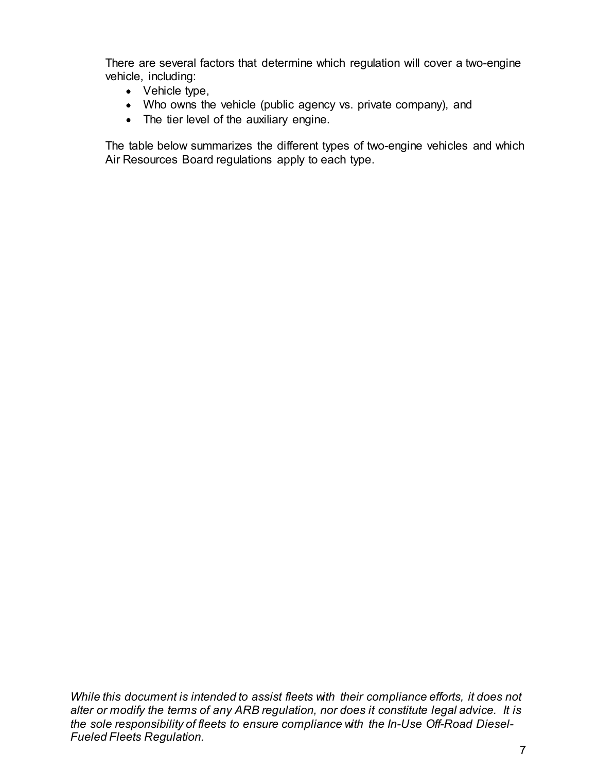There are several factors that determine which regulation will cover a two-engine vehicle, including:

- Vehicle type,
- 
- The tier level of the auxiliary engine.

including:<br>
including:<br>
Vehicle type,<br>
Who owns the vehicle (public agency vs. private company), and<br>
The tier level of the auxiliary engine.<br>
Je below summarizes the different types of two-engine vehicles and which<br>
ource The table below summarizes the different types of two-engine vehicles and which Air Resources Board regulations apply to each type.

While this document is intended to assist fleets with their compliance efforts, it does not While this document is intended to assist fleets with their compliance efforts, it does not<br>alter or modiry the terms of any ARB regulation, nor does it constitute legal advice. It is<br>the sole responsibility of fleets to e the sole responsibility of fleets to ensure compliance with the In-Use Off-Road Diesel-While this document is intended to assist fleets with their compliance efforts,<br>alter or modify the terms of any ARB regulation, nor does it constitute legal a<br>the sole responsibility of fleets to ensure compliance with th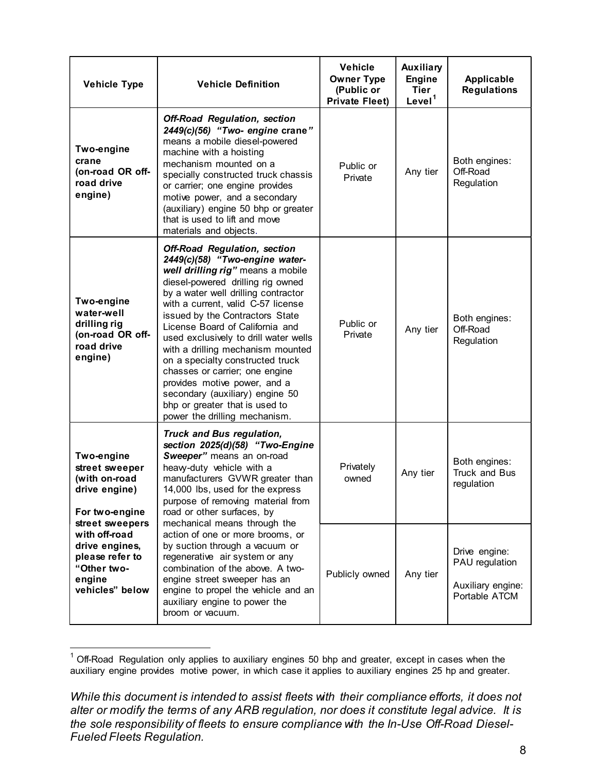| <b>Vehicle Type</b>                                                                                               | <b>Vehicle Definition</b>                                                                                                                                                                                                                                                                                                                                                                                                                                                                                                                                                                    | <b>Vehicle</b><br><b>Owner Type</b><br>(Public or<br><b>Private Fleet)</b> | Auxiliary<br><b>Engine</b><br><b>Tier</b><br>Level <sup>1</sup> | Applicable<br><b>Regulations</b>                                      |
|-------------------------------------------------------------------------------------------------------------------|----------------------------------------------------------------------------------------------------------------------------------------------------------------------------------------------------------------------------------------------------------------------------------------------------------------------------------------------------------------------------------------------------------------------------------------------------------------------------------------------------------------------------------------------------------------------------------------------|----------------------------------------------------------------------------|-----------------------------------------------------------------|-----------------------------------------------------------------------|
| Two-engine<br>crane<br>(on-road OR off-<br>road drive<br>engine)                                                  | <b>Off-Road Regulation, section</b><br>2449(c)(56) "Two- engine crane"<br>means a mobile diesel-powered<br>machine with a hoisting<br>mechanism mounted on a<br>specially constructed truck chassis<br>or carrier; one engine provides<br>motive power, and a secondary<br>(auxiliary) engine 50 bhp or greater<br>that is used to lift and move<br>materials and objects.                                                                                                                                                                                                                   | Public or<br>Private                                                       | Any tier                                                        | Both engines:<br>Off-Road<br>Regulation                               |
| Two-engine<br>water-well<br>drilling rig<br>(on-road OR off-<br>road drive<br>engine)                             | <b>Off-Road Regulation, section</b><br>2449(c)(58) "Two-engine water-<br>well drilling rig" means a mobile<br>diesel-powered drilling rig owned<br>by a water well drilling contractor<br>with a current, valid C-57 license<br>issued by the Contractors State<br>License Board of California and<br>used exclusively to drill water wells<br>with a drilling mechanism mounted<br>on a specialty constructed truck<br>chasses or carrier; one engine<br>provides motive power, and a<br>secondary (auxiliary) engine 50<br>bhp or greater that is used to<br>power the drilling mechanism. | Public or<br>Private                                                       | Any tier                                                        | Both engines:<br>Off-Road<br>Regulation                               |
| Two-engine<br>street sweeper<br>(with on-road<br>drive engine)<br>For two-engine                                  | <b>Truck and Bus regulation,</b><br>section 2025(d)(58) "Two-Engine<br>Sweeper" means an on-road<br>heavy-duty vehicle with a<br>manufacturers GVWR greater than<br>14,000 lbs, used for the express<br>purpose of removing material from<br>road or other surfaces, by                                                                                                                                                                                                                                                                                                                      | Privately<br>owned                                                         | Any tier                                                        | Both engines:<br>Truck and Bus<br>regulation                          |
| street sweepers<br>with off-road<br>drive engines,<br>please refer to<br>"Other two-<br>engine<br>vehicles" below | mechanical means through the<br>action of one or more brooms, or<br>by suction through a vacuum or<br>regenerative air system or any<br>combination of the above. A two-<br>engine street sweeper has an<br>engine to propel the vehicle and an<br>auxiliary engine to power the<br>broom or vacuum.                                                                                                                                                                                                                                                                                         | Publicly owned                                                             | Any tier                                                        | Drive engine:<br>PAU regulation<br>Auxiliary engine:<br>Portable ATCM |

auxiliary engine provides motive power, in which case it applies to auxiliary engines 25 hp and greater.

While this document is intended to assist fleets with their compliance efforts, it does not alter or modify the terms of any ARB regulation, nor does it constitute legal advice. It is the sole responsibility of fleets to ensure compliance with the In-Use Off-Road Diesel-<br>Fueled Fleets Regulation.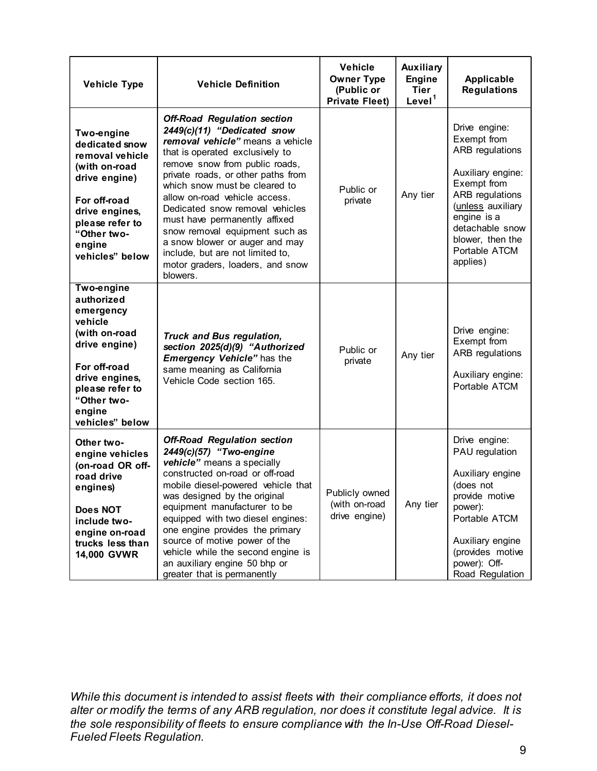| <b>Vehicle Type</b>                                                                                                                                                                 | <b>Vehicle Definition</b>                                                                                                                                                                                                                                                                                                                                                                                                                                                                                      | Vehicle<br><b>Owner Type</b><br>(Public or<br><b>Private Fleet)</b> | Auxiliary<br><b>Engine</b><br><b>Tier</b><br>Level <sup>1</sup> | Applicable<br><b>Regulations</b>                                                                                                                                                                                      |
|-------------------------------------------------------------------------------------------------------------------------------------------------------------------------------------|----------------------------------------------------------------------------------------------------------------------------------------------------------------------------------------------------------------------------------------------------------------------------------------------------------------------------------------------------------------------------------------------------------------------------------------------------------------------------------------------------------------|---------------------------------------------------------------------|-----------------------------------------------------------------|-----------------------------------------------------------------------------------------------------------------------------------------------------------------------------------------------------------------------|
| Two-engine<br>dedicated snow<br>removal vehicle<br>(with on-road<br>drive engine)<br>For off-road<br>drive engines,<br>please refer to<br>"Other two-<br>engine<br>vehicles" below  | <b>Off-Road Regulation section</b><br>2449(c)(11) "Dedicated snow<br>removal vehicle" means a vehicle<br>that is operated exclusively to<br>remove snow from public roads,<br>private roads, or other paths from<br>which snow must be cleared to<br>allow on-road vehicle access.<br>Dedicated snow removal vehicles<br>must have permanently affixed<br>snow removal equipment such as<br>a snow blower or auger and may<br>include, but are not limited to,<br>motor graders, loaders, and snow<br>blowers. | Public or<br>private                                                | Any tier                                                        | Drive engine:<br>Exempt from<br><b>ARB</b> regulations<br>Auxiliary engine:<br>Exempt from<br>ARB regulations<br>(unless auxiliary<br>engine is a<br>detachable snow<br>blower, then the<br>Portable ATCM<br>applies) |
| Two-engine<br>authorized<br>emergency<br>vehicle<br>(with on-road<br>drive engine)<br>For off-road<br>drive engines,<br>please refer to<br>"Other two-<br>engine<br>vehicles" below | <b>Truck and Bus regulation,</b><br>section 2025(d)(9) "Authorized<br><b>Emergency Vehicle"</b> has the<br>same meaning as California<br>Vehicle Code section 165.                                                                                                                                                                                                                                                                                                                                             | Public or<br>private                                                | Any tier                                                        | Drive engine:<br>Exempt from<br>ARB regulations<br>Auxiliary engine:<br>Portable ATCM                                                                                                                                 |
| Other two-<br>engine vehicles<br>(on-road OR off-<br>road drive<br>engines)<br>Does NOT<br>include two-<br>engine on-road<br>trucks less than<br><b>14,000 GVWR</b>                 | <b>Off-Road Regulation section</b><br>2449(c)(57) "Two-engine<br>vehicle" means a specially<br>constructed on-road or off-road<br>mobile diesel-powered vehicle that<br>was designed by the original<br>equipment manufacturer to be<br>equipped with two diesel engines:<br>one engine provides the primary<br>source of motive power of the<br>vehicle while the second engine is<br>an auxiliary engine 50 bhp or<br>greater that is permanently                                                            | Publicly owned<br>(with on-road<br>drive engine)                    | Any tier                                                        | Drive engine:<br>PAU regulation<br>Auxiliary engine<br>(does not<br>provide motive<br>power):<br>Portable ATCM<br>Auxiliary engine<br>(provides motive<br>power): Off-<br>Road Regulation                             |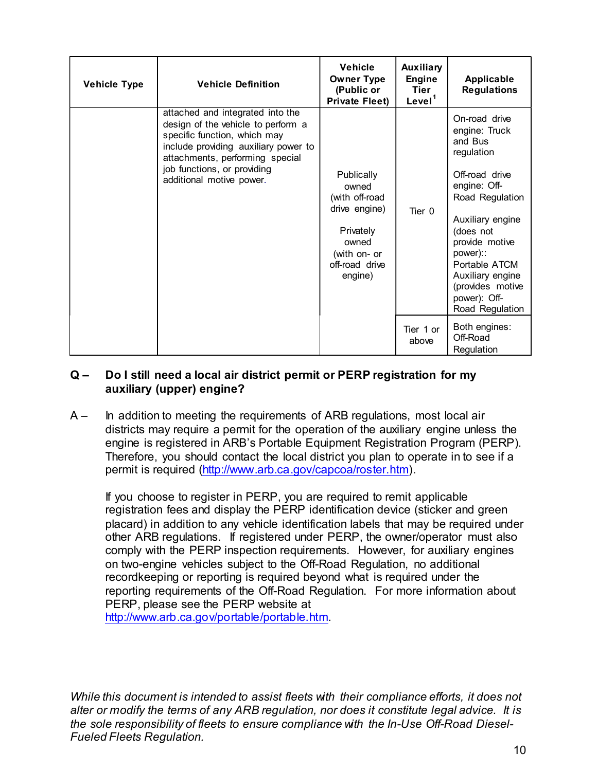|                | <b>Vehicle Type</b> | <b>Vehicle Definition</b>                                                                                                                                                                                                                                                                                                                                                                                                                                                                                                                                                                                                                                                        | <b>Vehicle</b><br><b>Owner Type</b><br>(Public or<br><b>Private Fleet)</b>                                                | Auxiliary<br><b>Engine</b><br><b>Tier</b><br>Level <sup>1</sup> | Applicable<br><b>Regulations</b>                                                                                                                                                                                                                                        |
|----------------|---------------------|----------------------------------------------------------------------------------------------------------------------------------------------------------------------------------------------------------------------------------------------------------------------------------------------------------------------------------------------------------------------------------------------------------------------------------------------------------------------------------------------------------------------------------------------------------------------------------------------------------------------------------------------------------------------------------|---------------------------------------------------------------------------------------------------------------------------|-----------------------------------------------------------------|-------------------------------------------------------------------------------------------------------------------------------------------------------------------------------------------------------------------------------------------------------------------------|
|                |                     | attached and integrated into the<br>design of the vehicle to perform a<br>specific function, which may<br>include providing auxiliary power to<br>attachments, performing special<br>job functions, or providing<br>additional motive power.                                                                                                                                                                                                                                                                                                                                                                                                                                     | Publically<br>owned<br>(with off-road<br>drive engine)<br>Privately<br>owned<br>(with on- or<br>off-road drive<br>engine) | Tier 0                                                          | On-road drive<br>engine: Truck<br>and Bus<br>regulation<br>Off-road drive<br>engine: Off-<br>Road Regulation<br>Auxiliary engine<br>(does not<br>provide motive<br>power)::<br>Portable ATCM<br>Auxiliary engine<br>(provides motive<br>power): Off-<br>Road Regulation |
|                |                     |                                                                                                                                                                                                                                                                                                                                                                                                                                                                                                                                                                                                                                                                                  | Tier 1 or<br>above                                                                                                        | Both engines:<br>Off-Road<br>Regulation                         |                                                                                                                                                                                                                                                                         |
| $Q -$<br>$A -$ |                     | Do I still need a local air district permit or PERP registration for my<br>auxiliary (upper) engine?<br>In addition to meeting the requirements of ARB regulations, most local air<br>districts may require a permit for the operation of the auxiliary engine unless the<br>engine is registered in ARB's Portable Equipment Registration Program (PERP).<br>Therefore, you should contact the local district you plan to operate in to see if a<br>permit is required (http://www.arb.ca.gov/capcoa/roster.htm).<br>If you choose to register in PERP, you are required to remit applicable<br>registration fees and display the PERP identification device (sticker and green |                                                                                                                           |                                                                 |                                                                                                                                                                                                                                                                         |

If you choose to register in PERP, you are required to remit applicable registration fees and display the PERP identification device (sticker and green placard) in addition to any vehicle identification labels that may be required under other ARB regulations. If registered under PERP, the owner/operator must also For the Because and in the PERP is required under the registration of the Rise of Because of the Rise of Because is a constrained in a didition to meeting the requirements of ARB regulations, most local air Regulation to m comply with the PERP inspection requirements. However, for auxiliary engines **Do I still need a local air district permit or PERP registration for my can regulation**<br> **Do I still need a local air district permit or PERP registration for my**<br>
above  $\Box$  of-Road air<br>
districts may require a permit fo **The set of the set of the set of the set of the set of the set of the set of the set of the set of the set of the set of the set of the set of the set of the set of the set of the set of the set of the set of the set of t Example 10** The The Constant in the Constant in the Constant of the Constant of the Could air districtions and air districtions and air districtions and air districtions are permit for the operation of the auditary engine PERP, please see the PERP website at metrolog, you should contact the local district you plant to operate in to see it a<br>permit is required (http://www.arb.ca.gov/capcoa/roster.htm).<br>If you choose to register in PERP, you are required to remit applicable<br>regi If you choose to register in PERP, you are required to remit applicable registration fees and display the PERP identification device (sticker a placard) in addition to any vehicle identification labels that may be recother

http://www.arb.ca.gov/portable/portable.htm.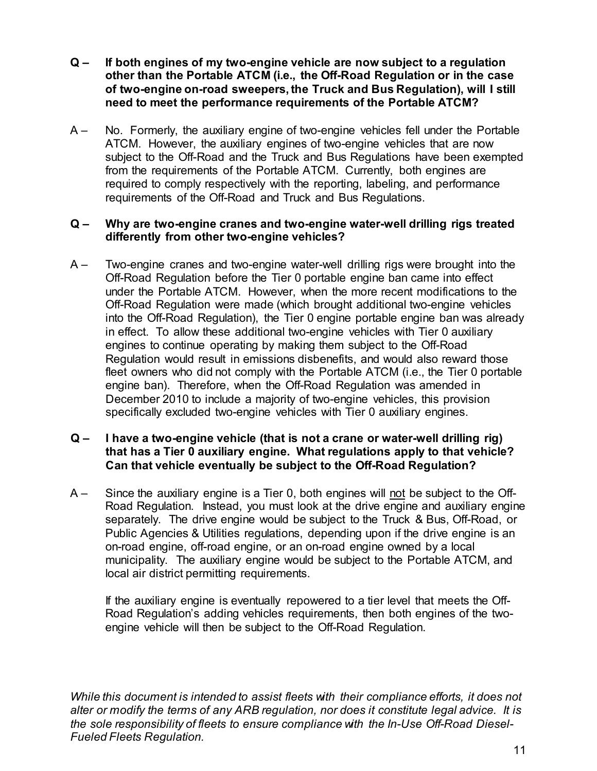- $Q -$  If both engines of my two-engine vehicle are now subject to a regulation<br>other than the Portable ATCM (i.e., the Off-Road Regulation or in the case<br>of two-engine on-road sweepers, the Truck and Bus Regulation), will If both engines of my two-engine vehicle are now subject to a regulation<br>other than the Portable ATCM (i.e., the Off-Road Regulation or in the case<br>of two-engine on-road sweepers, the Truck and Bus Regulation), will I stil If both engines of my two-engine vehicle are now subject to a regulation<br>other than the Portable ATCM (i.e., the Off-Road Regulation or in the case<br>of two-engine on-road sweepers, the Truck and Bus Regulation), will I stil need to meet the performance requirements of the Portable ATCM?
- α If both engines of my two-engine vehicle are now subject to a regulation<br>other than the Portable ATCM (i.e., the Off-Road Regulation or in the case<br>of two-engine on-road sweepers, the Truck and Bus Regulation), will ATCM. However, the auxiliary engines of two-engine vehicles that are now If both engines of my two-engine vehicle are now subject to a regulation<br>other than the Portable ATCM (i.e., the Off-Road Regulation or in the case<br>of two-engine on-road sweepers, the Truck and Bus Regulation), will I stil from the requirements of the Portable ATCM. Currently, both engines are required to comply respectively with the reporting, labeling, and performance requirements of the Off-Road and Truck and Bus Regulations. Q – If both engines of my two-engine vehicle are now subject to a regulation<br>
other than the Portable ATCM (i.e., the Off-Road Regulation or in the case<br>
of two-engine on-road sweepers, the Truck and Bus Regulation), will Q – If both engines of my two-engine vehicle are now subject to a regulation<br>of the than the Portable ATCM (i.e., the Off-Road Regulation or in the case<br>of two-engine on-road sweepers, the Truck and Bus Regulation), will

#### differently from other two-engine vehicles?

If both engines of my two-engine vehicle are now subject to a regulation<br>other than the Portable ATCM (i.e., the Off-Road Regulation or in the case<br>of two-engine on-road sweepers, the Truck and Bus Regulation), will I stil If both engines of my two-engine vehicle are now subject to a regulation<br>other than the Portable ATCM (i.e., the Off-Road Regulation or in the case<br>of two-engine on-road sweepers, the Truck and Bus Regulation), will I stil If both engines of my two-engine vehicle are now subject to a regulation<br>of two-engine on-rable ATCM (i.e., the Off-Road Regulation or in the case<br>of two-engine on-road sweepers, the Truck and Bus Regulation), will I still into the Off-Road Regulation), the Tier 0 engine portable engine ban was already on the common the control of the performance control in the Common Control of two-engine on-road sweepers, the Truck and Bus Regulation), will 1 still<br>need to meet the performance requirements of the Portable ATCM?<br>No. For or two-engine or two-engine or the reacts and the Dortale in the Dortale in the Dortale ATCM?<br>No. Formerly, the auxiliary engine of two-engine vehicles fell under the Portable ATCM. However, the auxiliary engines of two-en ncear to meet the pentomiance requirements of are the meet the Portable ATCM. However, the auxiliary engines of two-engine vehicles fall under the Portable ATCM. However, the auxiliary engines of two engine vehicles that a No. Formerly, the auxiliary engine of two-engine vehicles fell under the Portable<br>ATCM. However, the auxiliary engines of two-engine vehicles that are now<br>subject to the Off-Road and the Truck and Bus Regulations have been FOLD However, the auxiliary engine or two-engine ventices ein unter the rotation.<br>ATCM. However, the auxiliary engines of two-engine vehicles that are now<br>subject to the Off-Road and the Tuck and Bus Regulations have been December 2010 to include a majority of two-engine vehicles, this provision specifically excluded two-engine vehicles with Tier 0 auxiliary engines. requirements of the Off-Road and two-engine water-well drilling rigs treated differently from other two-engine vehicles?<br>
A – Why are two-engine cranes and two-engine water-well drilling rigs treated differently from other Why are two-engine cranes and two-engine water-well drilling rigs treated<br>differently from other two-engine vehicles?<br>Two-engine cranes and two-engine water-well drilling rigs were brought into the<br>Off-Road Regulation befo A – Move-engine ventroless will dilling rigs were brought into the TW-engine areas and two-engine wall drilling rigs were brought into the Off-Road Regulation before the Ter 0 portable engine ban came into effect under the We require Carets and wovelenging way the modelling rigs were bought number the Portable ATCM. However, when the more recent modifications to the Off-Road Regulation) the Tier 0 engine portable engine behaves into the Offon-tood toggladion between the rist operator and the method of CR-Road Regulation wore made (which brought additional two-engine vehicles off-Road Regulation), the Tier 0 engine portable engine beinds in the Off-Road Regul

## that has a Tier 0 auxiliary engine. What regulations apply to that vehicle?

Road Regulation. Instead, you must look at the drive engine and auxiliary engine on-road engine, off-road engine, or an on-road engine owned by a local municipality. The auxiliary engine would be subject to the Portable ATCM, and local air district permitting requirements. Negulation' would restain in emissions uside and word as an word as the wave under<br>Reet owners who did not comply with the Portable ATCM (i.e., the Ter 0 portable<br>Paper ban). Therefore, when the Off-Road Regulation was ame Can that vehicle eventually be subject to the Off-Road Regulation?<br>A-<br>Since the auxiliary engine is a Tier 0, both engines will not be subject to the Off-Road Regulation. Instead, you must look at the drive engine and aux A – Since the auxiliary engine is a Tier 0, both engines will <u>not</u> be subject<br>
Road Regulation. Instead, you must look at the drive engine and aux<br>
separately. The drive engine would be subject to the Truck & Bus, Of<br>
Pu

If the auxiliary engine is eventually repowered to a tier level that meets the Offengine vehicle will then be subject to the Off-Road Regulation.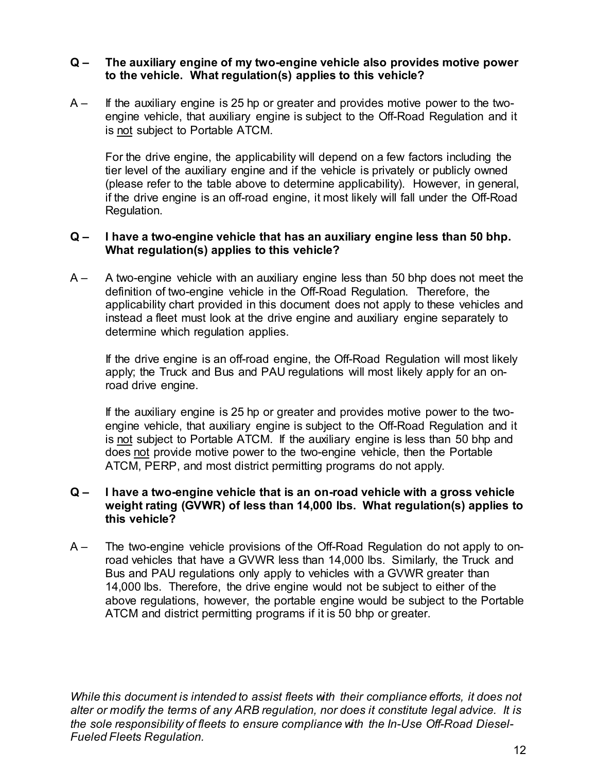#### to the vehicle. What regulation(s) applies to this vehicle?

Q – The auxiliary engine of my two-engine vehicle also provides motive power<br>to the vehicle. What regulation(s) applies to this vehicle?<br>A – If the auxiliary engine is 25 hp or greater and provides motive power to the two- $Q -$  The auxiliary engine of my two-engine vehicle also provides motive power<br>to the vehicle. What regulation(s) applies to this vehicle?<br>A – If the auxiliary engine is 25 hp or greater and provides motive power to the tw The auxiliary engine of my two-engine vehicle also provides motive power<br>to the vehicle. What regulation(s) applies to this vehicle?<br>If the auxiliary engine is 25 hp or greater and provides motive power to the two-<br>engine

The auxiliary engine of my two-engine vehicle also provides moto the vehicle. What regulation(s) applies to this vehicle?<br>If the auxiliary engine is 25 hp or greater and provides motive power<br>engine vehicle, that auxiliary For the drive engine, the applicability will depend on a few factors including the tier level of the auxiliary engine and if the vehicle is privately or publicly owned (please refer to the table above to determine applicability). However, in general, if the drive engine is an off-road engine, it most likely will fall under the Off-Road Regulation. Q – The auxiliary engine of my two-engine vehicle also provides motive power<br>to the vehicle. What regulation(s) applies to this vehicle?<br>A – If the auxiliary engine is 25 hp or greater and provides motive power to the two

## What regulation(s) applies to this vehicle?

Q – The auxiliary engine of my two-engine vehicle also provides motive power<br>to the vehicle. What regulation(s) applies to this vehicle?<br>A – If the auxiliary engine is 25 hp or greater and provides motive power to the two definition of two-engine vehicle in the Off-Road Regulation. Therefore, the applicability chart provided in this document does not apply to these vehicles and in the auxiliary engine of the drive-burg were also provides include the drive-<br>in the auxiliary engine is 25 hp or greater and provides motive power to the two-<br>engine vehicle, that auxiliary engine is subject to the Offdetermine which regulation applies. If the datintion of two-engine back and provides nother both and the two-<br>Inergine vehicle, that auxiliary engine is subject to the Off-Road Regulation and it<br>is <u>not</u> stubject to Portable ATCM.<br>For the drive engine, the a en even on a easaway even an a reviewer and many even to the process prefer to the table above to determine applicability). However, in general, if the drive engine is an off-road engine, it most likely will fall under the please relate to the lable above to be entimite elphonomic by involvering, in general, the drive engine is an off-road engine, it most likely will fall under the Off-Road Regulation.<br>
I have a two-engine vehicle that has a The univer engine is an off-road engine, it most interty will rain direct the Off-road Regulation.<br>
I have a two-engine vehicle that has an auxiliary engine less than 50 bhp.<br>
What regulation(s) applies to this vehicle?<br>
A What **a ty** we engine whice that is an anxieting engine webs start of the definition of two-engine vehicle in the Off-Road Regulation. Therefore, the applicability chart provided in this document does not apply to these v

apply; the Truck and Bus and PAU regulations will most likely apply for an onroad drive engine.

If the auxiliary engine is 25 hp or greater and provides motive power to the two-ATCM, PERP, and most district permitting programs do not apply.

#### weight rating (GVWR) of less than 14,000 lbs. What regulation(s) applies to this vehicle?

deminution wo-engine vehicle in the Off-Road Regulation. I interlout is the diversion of the diversion applicability chart provided in this document does nd apply to these vehicles and instead a fleet must look at the driv road vehicles that have a GVWR less than 14,000 lbs. Similarly, the Truck and Bus and PAU regulations only apply to vehicles with a GVWR greater than 14,000 lbs. Therefore, the drive engine would not be subject to either of the above regulations, however, the portable engine would be subject to the Portable ATCM and district permitting programs if it is 50 bhp or greater. ATCM, PERP, and most district permitting programs do not apply.<br>
Q – I have a two-engine vehicle that is an on-road vehicle with a gross vehicle<br>
weight rating (GVWR) of less than 14,000 lbs. What regulation(s) applies to<br> Q – I have a two-engine vehicle that is an on-road vehicle with a gros<br>weight rating (GVWR) of less than 14,000 lbs. What regulation(s)<br>this vehicle?<br>A – The two-engine vehicle provisions of the Off-Road Regulation do not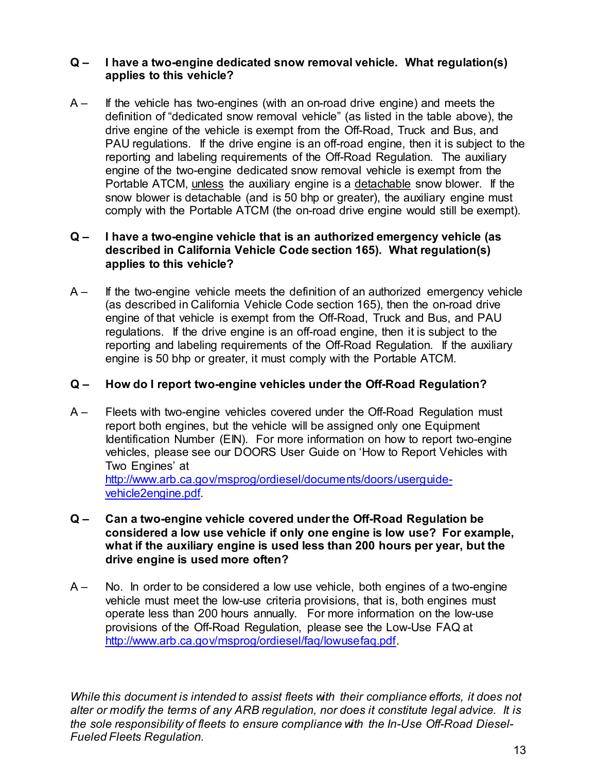#### applies to this vehicle?

Q – I have a two-engine dedicated snow removal vehicle. What regulation(s)<br>applies to this vehicle?<br>A – If the vehicle has two-engines (with an on-road drive engine) and meets the<br>definition of "dedicated snow removal vehi Q – I have a two-engine dedicated snow removal vehicle. What regulation(s)<br>applies to this vehicle?<br>A – If the vehicle has two-engines (with an on-road drive engine) and meets the<br>definition of "dedicated snow removal vehi definition of "dedicated snow removal vehicle" (as listed in the table above), the I have a two-engine dedicated snow removal vehicle. What regulation(s)<br>applies to this vehicle?<br>If the vehicle has two-engines (with an on-road drive engine) and meets the<br>definition of "dedicated snow removal vehicle" (as PAU regulations. If the drive engine is an off-road engine, then it is subject to the **I have a two-engine dedicated snow removal vehicle. What regulation(s)**<br>applies to this vehicle?<br>If the vehicle has two-engines (with an on-road drive engine) and meets the<br>definition of "dedicated snow removal vehicle" ( engine of the two-engine dedicated snow removal vehicle is exempt from the I have a two-engine dedicated snow removal vehicle. What regulation(s)<br>applies to this vehicle?<br>If the vehicle as two-engines (with an on-road drive engine) and meets the<br>drivition of "dedicated snow removal vehicle" (as l I have a two-engine dedicated snow removal vehicle. What regulation(s)<br>applies to this vehicle?<br>If the vehicle has two-engines (with an on-road drive engine) and meets the<br>definition of "dedicated snow removal vehicle" (as I have a two-engine dedicated snow removal vehicle. What regulation(s)<br>applies to this vehicle?<br>If the vehicle has two-engines (with an on-road drive engine) and meets the<br>drivit on divelactated snow removal vehicle" (as l Q – I have a two-engine dedicated snow removal vehicle. What regulation(s)<br>applies to this vehicle?<br>A – If the vehicle has two-engines (with an on-road drive engine) and meets the<br>drive engine of the vehicle is exempt fro I have a two-engine dedicated snow removal vehicle. What regulation(s)<br>applies to this vehicle?<br>definition of "dedicated snow removal vehicle" (as listed in the table above), the<br>drive engine of the vehicle severable from Q – I have a two-engine dedicated snow removal vehicle. What regulation(s)<br>applies to this vehicle?<br>A – If the vehicle has two-engines (with an on-road drive engine) and meets the<br>definition of "dedicated snow removal veh I have a two-engine dedicated snow removal vehicle. What regulation(s)<br>applies to this vehicle?<br>If the vehicle has two-engines (with an on-road drive engine) and meets the<br>definition of "dedicated snow removal vehicle" (as If the vehicle has two-engines (with an on-road drive engine) and meets the definition of "dedicated snow removal vehicle" (as listed in the table above), the drive engine of the vehicle is exempt from the Off-Road, Truck Invertigine of the ventiles is exempt from the Off-Road Tuck and Dust, and the engine is an off-road regulation. The auxiliary engine of the Off-Road Regulation. The auxiliary engine of the two-engine dedicated snow hermor

## applies to this vehicle?

engine of that vehicle is exempt from the Off-Road, Truck and Bus, and PAU regulations. If the drive engine is an off-road engine, then it is subject to the engine is 50 bhp or greater, it must comply with the Portable ATCM. Freporting and labeling requirements of the Off-Road Regulation. The absolver the protocol in the protocol in the Droid California California California California California California California California California veh

- ergine to the thro-engine tecture and the off-Road Regulation must<br>Portable ATCM, <u>unless</u> the auxiliary engine is a <u>detachable</u> snow blower. If the<br>snow blower is detachable (and is 50 bhp or greater), the auxiliary engi Identification Number (EIN). For more information on how to report two-engine vehicles, please see our DOORS User Guide on 'How to Report Vehicles with between the Poitable ATCM (the off-boad directing the exerting the exerting of the series of the series of the series of the series of the two-engine vehicle Code section 165). What regulation(s) applies to this vehicle?<br>I http://www.arb.ca.gov/msprog/ordiesel/documents/doors/userguidevehicles in the two-engine whicle covered under the Off-Road Can a two-engine whicle<br>
(as described in California Vehicle Code section 165), then the on-road drive<br>
engine of that vehicle is exempt from the Off-Road, Truck if the wo-engine winder the auxiliary of the diversion of a functional calculation of the auxiliary venteres in the christople in California Vehicle is exempt from the Off-Road, Truck and Bus, and PAU requiritions. If the (as used much and much much will be the dirt. Then the dirty of the engine of that whicle is exempt from the Off-Road, Truck and Bus, regulations. If the dirve engine is an off-road engine, then it is subjereporting and la regonding and labeling requirements of the Off-Road Regulation. If the auxiliary<br>reporting and labeling requirements of the Off-Road Regulation? If the auxiliary<br>engine is 50 bhp or greater, it must comply with the Portab repoint is 50 bhp or greater, it must comply with the Portable ATCM.<br>How do I report two-engine vehicles under the Off-Road Regulation?<br>Fleets with two-engine vehicles covered under the Off-Road Regulation must<br>report both ergine is so only or greater, it must comply wint the Poff-Road Regulation?<br>How do I report two-engine vehicles under the Off-Road Regulation must<br>report both engines, but the vehicle will be assigned only one Equipment<br>le
- considered a low use vehicle if only one engine is low use? For example,
- provisions of the Off-Road Regulation, please see the Low-Use FAQ at http://www.arb.ca.gov/msprog/ordiesel/faq/lowusefaq.pdf. Two Engines at the term of any ARB regulation is determined to the property or model to the terms of  $\frac{1}{\sqrt{2}}$  which  $\frac{1}{\sqrt{2}}$  which  $\frac{1}{\sqrt{2}}$  which  $\frac{1}{\sqrt{2}}$  which  $\frac{1}{\sqrt{2}}$  which  $\frac{1}{\sqrt{2}}$  which  $\frac{1}{$ **Example 2018**<br>
Wehicle2engine.pdf.<br>
Q – Can a two-engine vehicle covered under the Off-Road Regulation<br>
considered a low use vehicle if only one engine is low use? For<br>
what if the auxiliary engine is used less than 200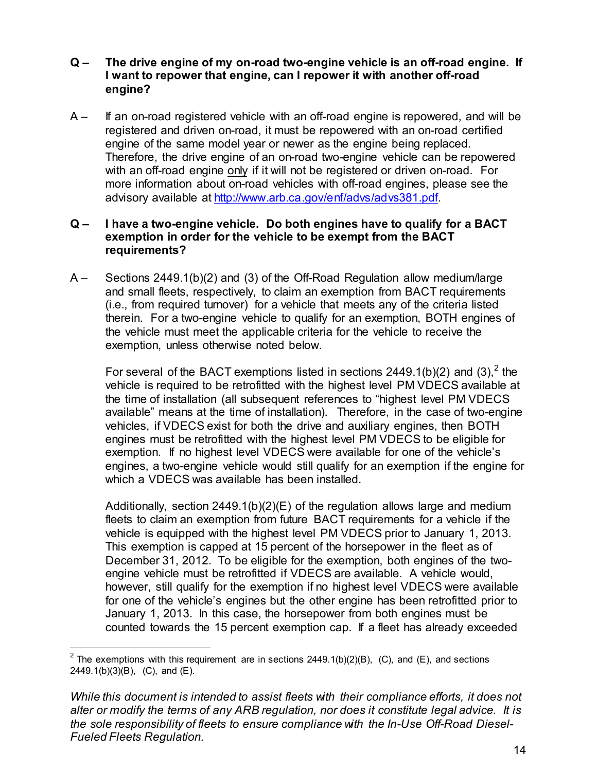# Q – The drive engine of my on-road two-engine vehicle is an off-road engine. If<br>I want to repower that engine, can I repower it with another off-road<br>A – If an on-road registered vehicle with an off-road engine is repowere The drive engine of my on-road two-engine vehicle is an off-road engine. If<br>I want to repower that engine, can I repower it with another off-road<br>engine?<br>If an on-road registered vehicle with an off-road engine is repowere engine?

Q – The drive engine of my on-road two-engine vehicle is an off-road engine. If<br>
I want to repower that engine, can I repower it with another off-road<br>
engine?<br>
A – If an on-road registered vehicle with an off-road engine registered and driven on-road, it must be repowered with an on-road certified engine of the same model year or newer as the engine being replaced. The drive engine of my on-road two-engine vehicle is an off-road engine. If <br>I want to repower that engine, can I repower it with another off-road<br>engine?<br>If an on-road registered vehicle with an off-road engine is repowe The drive engine of my on-road two-engine vehicle is an off-road engine. If want to repower that engine, can I repower it with another off-road engine?<br>If an on-road registered vehicle with an off-road engine is repowered more information about on-road vehicles with off-road engines, please see the Q – The drive engine of my on-road two-engine vehicle is an off-road engine. If<br>
I want to repower that engine, can I repower it with another off-road<br>
engistered and driven on-road, it must be repowered with an on-road Q – The drive engine of my on-road two-engine vehicle is an off-road engine. If<br>
I want to repower that engine, can I repower it with another off-road<br>
engine?<br>
A – If an on-road registered vehicle with an off-road engine The drive engine of my on-road two-engine vehicle is an off-road engine. If<br> **u** want to repower that engine, can I repower it with another off-road<br>
if an on-road registered vehicle with an off-road engine is repowered, The antitive regime of thy other duality for a two-engine vehicle to quality and the proposer internal engine of the proposer it with another off-road<br>engine?<br>If an on-road registered vehicle with an off-road engine is re is an orizonal regulare with a rini-rund ending the provided registered and diven on-road, it must be repowered with an on-road certified Therefore, the dirive engine of an on-road two-engine being replaced.<br>
Therefore, th

#### exemption in order for the vehicle to be exempt from the BACT requirements?

and small fleets, respectively, to claim an exemption from BACT requirements the vehicle must meet the applicable criteria for the vehicle to receive the exemption, unless otherwise noted below.

For several of the BACT exemptions listed in sections 2449.1(b)(2) and (3).<sup>2</sup> the vehicle is required to be retrofitted with the highest level PM VDECS available at the time of installation (all subsequent references to "highest level PM VDECS merience; us curve eignie to an oriental of the time of the time of the time of the time into the time the time of the time of the time of the dentished and the time of the dentished or diriven and convention about on-road vehicles, if VDECS exist for both the drive and auxiliary engines, then BOTH engines must be retrofitted with the highest level PM VDECS to be eligible for exemption. If no highest level VDECS were available for one of the vehicle's engines, a two-engine vehicle would still qualify for an exemption if the engine for Frace a wo-engine ventice. Do other since and mall was avever to continue the discretive methanic flock of the other and small fleets, respectively, to claim an exemption from the BACT requirements and small fleets, respec becoming a street right of the official dimension and real reduction and small fleets, respectively, to claim an exemption from BACT requirements (i.e., from required turnover) for a whicle that meets any of the criteria l

Additionally, section 2449.1(b)(2)(E) of the regulation allows large and medium fleets to claim an exemption from future BACT requirements for a vehicle if the This exemption is capped at 15 percent of the horsepower in the fleet as of (i.e., nontrequine tankove) to a vention at energies any of uncontent insections, the engine behicle to pualify for an exemption, BOTH engines of the exemption, unless otherwise noted below.<br>For several of the BACT exempti engine vehicle must be retrofitted if VDECS are available. A vehicle would, however, still qualify for the exemption if no highest level VDECS were available for one of the vehicle's engines but the other engine has been retrofitted prior to For several of the BACT exemptions listed in sections 2449.1(b)(2) and (3),<sup>2</sup> the vehicle is required to be retrofitted with the highest level PM VDECS available at the time of installation (all subsequent references to counted towards the 15 percent exemption cap. If a fleet has already exceeded engines, a two-engine vehicle would still qualify for an exemption if the engine for<br>which a VDECS was available has been installed.<br>Additionally, section 2449.1(b)(2)(E) of the regulation allows large and medium<br>fleets t Additionally, section 2449.1(b)(2)(E) of the regulation allows large and elects to claim an exemption from that the BACT requirements for a vehicle is equipped with the highest level PM VDECS prior to January This exempti

<sup>&</sup>lt;sup>2</sup> The exemptions with this requirement are in sections 2449.1(b)(2)(B), (C), and (E), and sections 2449.1(b)(3)(B), (C), and (E).

While this document is intended to assist fleets with their compliance efforts, it does not the sole responsibility of fleets to ensure compliance with the In-Use Off-Road Diesel-